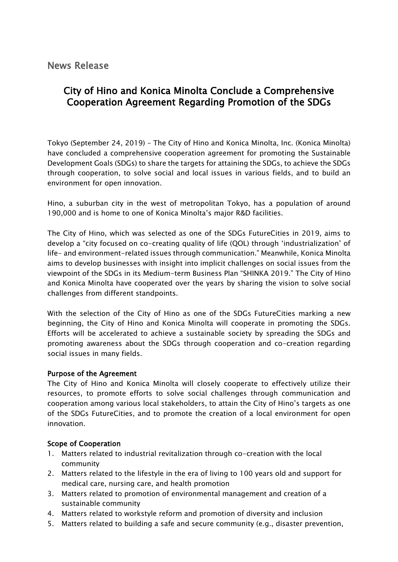News Release

## City of Hino and Konica Minolta Conclude a Comprehensive Cooperation Agreement Regarding Promotion of the SDGs

Tokyo (September 24, 2019) – The City of Hino and Konica Minolta, Inc. (Konica Minolta) have concluded a comprehensive cooperation agreement for promoting the Sustainable Development Goals (SDGs) to share the targets for attaining the SDGs, to achieve the SDGs through cooperation, to solve social and local issues in various fields, and to build an environment for open innovation.

Hino, a suburban city in the west of metropolitan Tokyo, has a population of around 190,000 and is home to one of Konica Minolta's major R&D facilities.

The City of Hino, which was selected as one of the SDGs FutureCities in 2019, aims to develop a "city focused on co-creating quality of life (QOL) through 'industrialization' of life- and environment-related issues through communication." Meanwhile, Konica Minolta aims to develop businesses with insight into implicit challenges on social issues from the viewpoint of the SDGs in its Medium-term Business Plan "SHINKA 2019." The City of Hino and Konica Minolta have cooperated over the years by sharing the vision to solve social challenges from different standpoints.

With the selection of the City of Hino as one of the SDGs FutureCities marking a new beginning, the City of Hino and Konica Minolta will cooperate in promoting the SDGs. Efforts will be accelerated to achieve a sustainable society by spreading the SDGs and promoting awareness about the SDGs through cooperation and co-creation regarding social issues in many fields.

## Purpose of the Agreement

The City of Hino and Konica Minolta will closely cooperate to effectively utilize their resources, to promote efforts to solve social challenges through communication and cooperation among various local stakeholders, to attain the City of Hino's targets as one of the SDGs FutureCities, and to promote the creation of a local environment for open innovation.

## Scope of Cooperation

- 1. Matters related to industrial revitalization through co-creation with the local community
- 2. Matters related to the lifestyle in the era of living to 100 years old and support for medical care, nursing care, and health promotion
- 3. Matters related to promotion of environmental management and creation of a sustainable community
- 4. Matters related to workstyle reform and promotion of diversity and inclusion
- 5. Matters related to building a safe and secure community (e.g., disaster prevention,